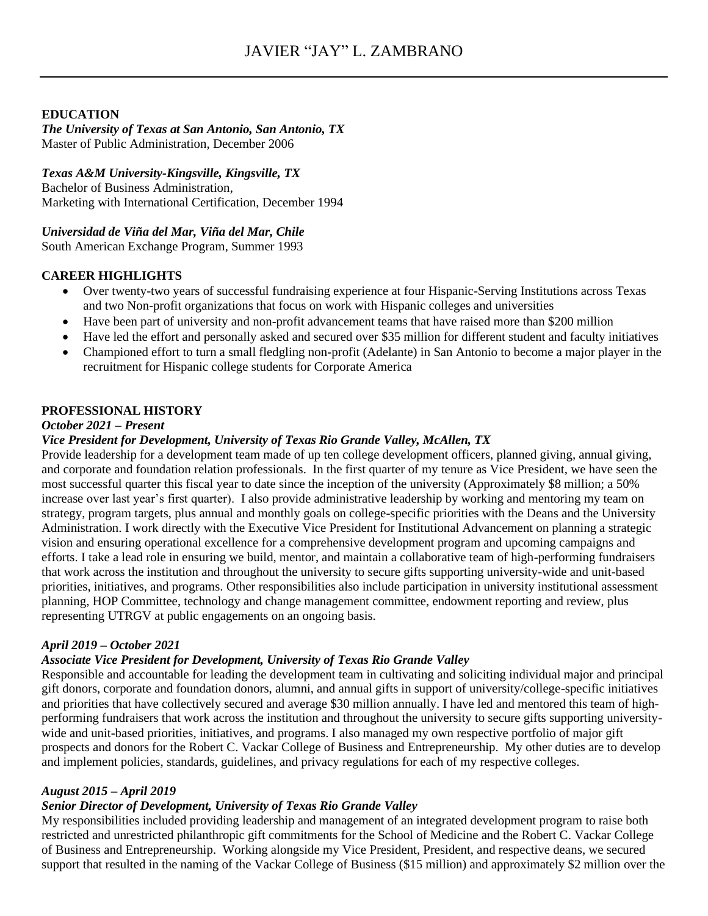# **EDUCATION**

*The University of Texas at San Antonio, San Antonio, TX*  Master of Public Administration, December 2006

# *Texas A&M University-Kingsville, Kingsville, TX*

Bachelor of Business Administration, Marketing with International Certification, December 1994

# *Universidad de Viña del Mar, Viña del Mar, Chile*

South American Exchange Program, Summer 1993

# **CAREER HIGHLIGHTS**

- Over twenty-two years of successful fundraising experience at four Hispanic-Serving Institutions across Texas and two Non-profit organizations that focus on work with Hispanic colleges and universities
- Have been part of university and non-profit advancement teams that have raised more than \$200 million
- Have led the effort and personally asked and secured over \$35 million for different student and faculty initiatives
- Championed effort to turn a small fledgling non-profit (Adelante) in San Antonio to become a major player in the recruitment for Hispanic college students for Corporate America

#### **PROFESSIONAL HISTORY**

#### *October 2021 – Present*

# *Vice President for Development, University of Texas Rio Grande Valley, McAllen, TX*

Provide leadership for a development team made of up ten college development officers, planned giving, annual giving, and corporate and foundation relation professionals. In the first quarter of my tenure as Vice President, we have seen the most successful quarter this fiscal year to date since the inception of the university (Approximately \$8 million; a 50% increase over last year's first quarter). I also provide administrative leadership by working and mentoring my team on strategy, program targets, plus annual and monthly goals on college-specific priorities with the Deans and the University Administration. I work directly with the Executive Vice President for Institutional Advancement on planning a strategic vision and ensuring operational excellence for a comprehensive development program and upcoming campaigns and efforts. I take a lead role in ensuring we build, mentor, and maintain a collaborative team of high-performing fundraisers that work across the institution and throughout the university to secure gifts supporting university-wide and unit-based priorities, initiatives, and programs. Other responsibilities also include participation in university institutional assessment planning, HOP Committee, technology and change management committee, endowment reporting and review, plus representing UTRGV at public engagements on an ongoing basis.

# *April 2019 – October 2021*

# *Associate Vice President for Development, University of Texas Rio Grande Valley*

Responsible and accountable for leading the development team in cultivating and soliciting individual major and principal gift donors, corporate and foundation donors, alumni, and annual gifts in support of university/college-specific initiatives and priorities that have collectively secured and average \$30 million annually. I have led and mentored this team of highperforming fundraisers that work across the institution and throughout the university to secure gifts supporting universitywide and unit-based priorities, initiatives, and programs. I also managed my own respective portfolio of major gift prospects and donors for the Robert C. Vackar College of Business and Entrepreneurship. My other duties are to develop and implement policies, standards, guidelines, and privacy regulations for each of my respective colleges.

# *August 2015 – April 2019*

# *Senior Director of Development, University of Texas Rio Grande Valley*

My responsibilities included providing leadership and management of an integrated development program to raise both restricted and unrestricted philanthropic gift commitments for the School of Medicine and the Robert C. Vackar College of Business and Entrepreneurship. Working alongside my Vice President, President, and respective deans, we secured support that resulted in the naming of the Vackar College of Business (\$15 million) and approximately \$2 million over the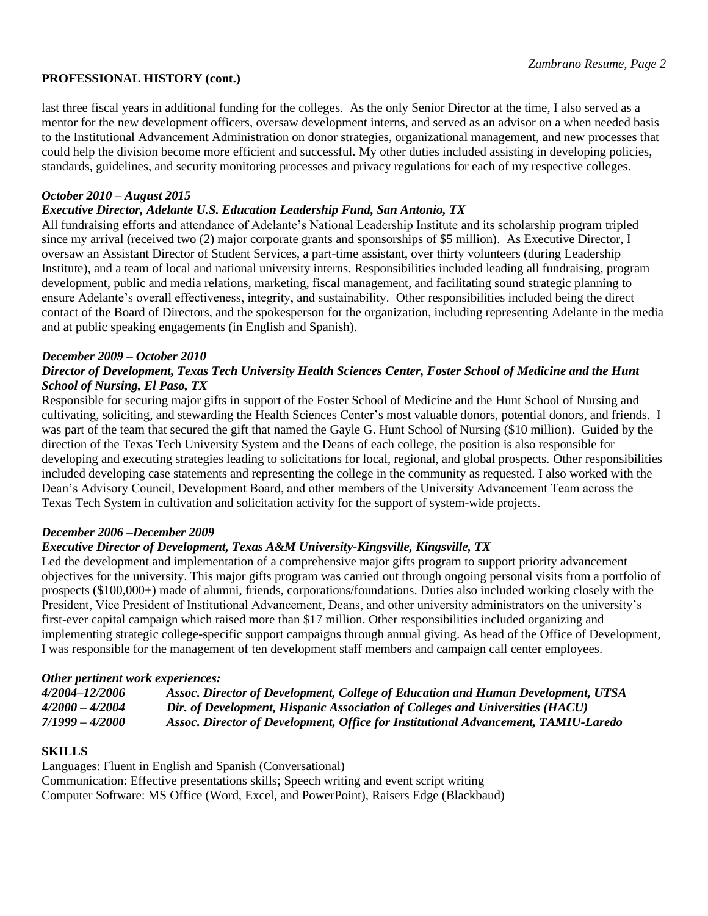#### **PROFESSIONAL HISTORY (cont.)**

last three fiscal years in additional funding for the colleges. As the only Senior Director at the time, I also served as a mentor for the new development officers, oversaw development interns, and served as an advisor on a when needed basis to the Institutional Advancement Administration on donor strategies, organizational management, and new processes that could help the division become more efficient and successful. My other duties included assisting in developing policies, standards, guidelines, and security monitoring processes and privacy regulations for each of my respective colleges.

#### *October 2010 – August 2015*

#### *Executive Director, Adelante U.S. Education Leadership Fund, San Antonio, TX*

All fundraising efforts and attendance of Adelante's National Leadership Institute and its scholarship program tripled since my arrival (received two (2) major corporate grants and sponsorships of \$5 million). As Executive Director, I oversaw an Assistant Director of Student Services, a part-time assistant, over thirty volunteers (during Leadership Institute), and a team of local and national university interns. Responsibilities included leading all fundraising, program development, public and media relations, marketing, fiscal management, and facilitating sound strategic planning to ensure Adelante's overall effectiveness, integrity, and sustainability. Other responsibilities included being the direct contact of the Board of Directors, and the spokesperson for the organization, including representing Adelante in the media and at public speaking engagements (in English and Spanish).

#### *December 2009 – October 2010*

### *Director of Development, Texas Tech University Health Sciences Center, Foster School of Medicine and the Hunt School of Nursing, El Paso, TX*

Responsible for securing major gifts in support of the Foster School of Medicine and the Hunt School of Nursing and cultivating, soliciting, and stewarding the Health Sciences Center's most valuable donors, potential donors, and friends. I was part of the team that secured the gift that named the Gayle G. Hunt School of Nursing (\$10 million). Guided by the direction of the Texas Tech University System and the Deans of each college, the position is also responsible for developing and executing strategies leading to solicitations for local, regional, and global prospects. Other responsibilities included developing case statements and representing the college in the community as requested. I also worked with the Dean's Advisory Council, Development Board, and other members of the University Advancement Team across the Texas Tech System in cultivation and solicitation activity for the support of system-wide projects.

#### *December 2006 –December 2009*

# *Executive Director of Development, Texas A&M University-Kingsville, Kingsville, TX*

Led the development and implementation of a comprehensive major gifts program to support priority advancement objectives for the university. This major gifts program was carried out through ongoing personal visits from a portfolio of prospects (\$100,000+) made of alumni, friends, corporations/foundations. Duties also included working closely with the President, Vice President of Institutional Advancement, Deans, and other university administrators on the university's first-ever capital campaign which raised more than \$17 million. Other responsibilities included organizing and implementing strategic college-specific support campaigns through annual giving. As head of the Office of Development, I was responsible for the management of ten development staff members and campaign call center employees.

#### *Other pertinent work experiences:*

| 4/2004-12/2006    | Assoc. Director of Development, College of Education and Human Development, UTSA   |
|-------------------|------------------------------------------------------------------------------------|
| $4/2000 - 4/2004$ | Dir. of Development, Hispanic Association of Colleges and Universities (HACU)      |
| $7/1999 - 4/2000$ | Assoc. Director of Development, Office for Institutional Advancement, TAMIU-Laredo |

#### **SKILLS**

Languages: Fluent in English and Spanish (Conversational) Communication: Effective presentations skills; Speech writing and event script writing Computer Software: MS Office (Word, Excel, and PowerPoint), Raisers Edge (Blackbaud)